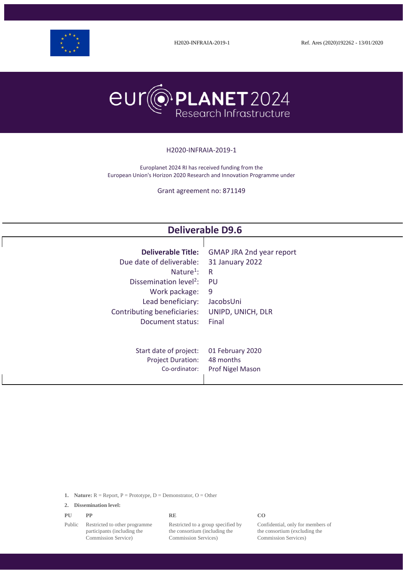



#### H2020-INFRAIA-2019-1

Europlanet 2024 RI has received funding from the European Union's Horizon 2020 Research and Innovation Programme under

Grant agreement no: 871149

| <b>Deliverable D9.6</b>            |                                 |  |  |
|------------------------------------|---------------------------------|--|--|
| <b>Deliverable Title:</b>          | <b>GMAP JRA 2nd year report</b> |  |  |
| Due date of deliverable:           | 31 January 2022                 |  |  |
| Nature <sup>1</sup> :              | $\mathsf{R}$                    |  |  |
| Dissemination level <sup>2</sup> : | PU                              |  |  |
| Work package:                      | 9                               |  |  |
| Lead beneficiary:                  | JacobsUni                       |  |  |
| Contributing beneficiaries:        | UNIPD, UNICH, DLR               |  |  |
| Document status:                   | Final                           |  |  |
| Start date of project:             | 01 February 2020                |  |  |
| <b>Project Duration:</b>           | 48 months                       |  |  |
| Co-ordinator:                      | Prof Nigel Mason                |  |  |

**1. Nature:**  $R =$  Report,  $P =$  Prototype,  $D =$  Demonstrator,  $O =$  Other

**2. Dissemination level:**

| CO<br>PU<br>PP<br><b>RE</b><br>. . |
|------------------------------------|
|------------------------------------|

Public Restricted to other programme participants (including the Commission Service)

Restricted to a group specified by the consortium (including the Commission Services)

Confidential, only for members of the consortium (excluding the Commission Services)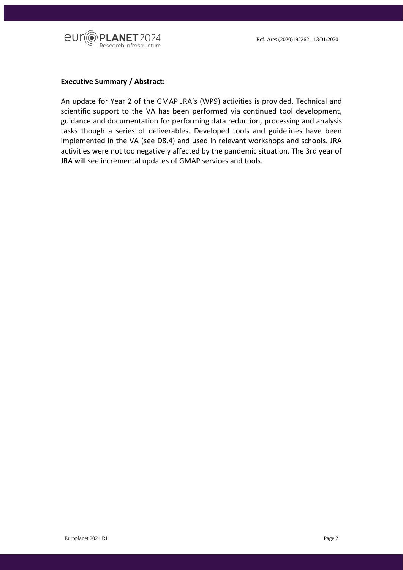

#### **Executive Summary / Abstract:**

An update for Year 2 of the GMAP JRA's (WP9) activities is provided. Technical and scientific support to the VA has been performed via continued tool development, guidance and documentation for performing data reduction, processing and analysis tasks though a series of deliverables. Developed tools and guidelines have been implemented in the VA (see D8.4) and used in relevant workshops and schools. JRA activities were not too negatively affected by the pandemic situation. The 3rd year of JRA will see incremental updates of GMAP services and tools.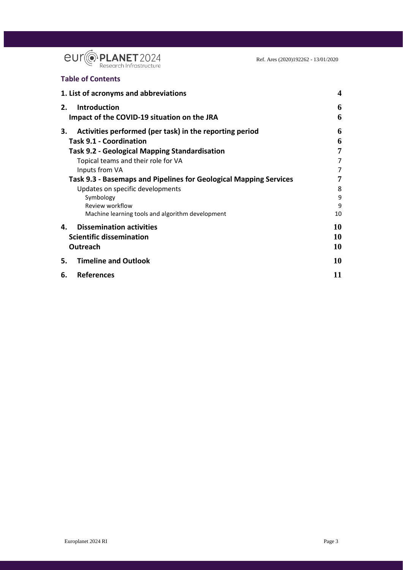

## **Table of Contents**

| 1. List of acronyms and abbreviations                                                                                                                                                                                                                                                                                                                     | $\boldsymbol{4}$                          |
|-----------------------------------------------------------------------------------------------------------------------------------------------------------------------------------------------------------------------------------------------------------------------------------------------------------------------------------------------------------|-------------------------------------------|
| 2.<br><b>Introduction</b><br>Impact of the COVID-19 situation on the JRA                                                                                                                                                                                                                                                                                  | 6<br>6                                    |
| 3.<br>Activities performed (per task) in the reporting period<br><b>Task 9.1 - Coordination</b><br><b>Task 9.2 - Geological Mapping Standardisation</b><br>Topical teams and their role for VA<br>Inputs from VA<br>Task 9.3 - Basemaps and Pipelines for Geological Mapping Services<br>Updates on specific developments<br>Symbology<br>Review workflow | 6<br>6<br>7<br>7<br>7<br>7<br>8<br>9<br>9 |
| Machine learning tools and algorithm development                                                                                                                                                                                                                                                                                                          | 10                                        |
| <b>Dissemination activities</b><br>4.<br><b>Scientific dissemination</b><br>Outreach                                                                                                                                                                                                                                                                      | 10<br>10<br>10                            |
| <b>Timeline and Outlook</b><br>5.                                                                                                                                                                                                                                                                                                                         | 10                                        |
| <b>References</b><br>6.                                                                                                                                                                                                                                                                                                                                   | 11                                        |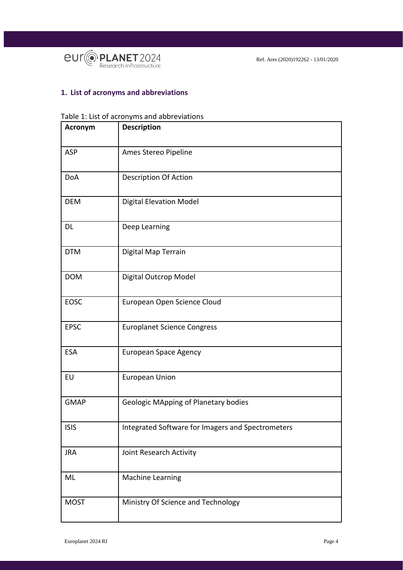

## <span id="page-3-0"></span>**1. List of acronyms and abbreviations**

#### Table 1: List of acronyms and abbreviations

| Acronym     | <b>Description</b>                                |  |
|-------------|---------------------------------------------------|--|
| ASP         | Ames Stereo Pipeline                              |  |
| <b>DoA</b>  | <b>Description Of Action</b>                      |  |
| <b>DEM</b>  | <b>Digital Elevation Model</b>                    |  |
| <b>DL</b>   | Deep Learning                                     |  |
| <b>DTM</b>  | Digital Map Terrain                               |  |
| <b>DOM</b>  | Digital Outcrop Model                             |  |
| EOSC        | European Open Science Cloud                       |  |
| <b>EPSC</b> | <b>Europlanet Science Congress</b>                |  |
| <b>ESA</b>  | <b>European Space Agency</b>                      |  |
| EU          | <b>European Union</b>                             |  |
| <b>GMAP</b> | <b>Geologic MApping of Planetary bodies</b>       |  |
| <b>ISIS</b> | Integrated Software for Imagers and Spectrometers |  |
| <b>JRA</b>  | Joint Research Activity                           |  |
| ML          | Machine Learning                                  |  |
| <b>MOST</b> | Ministry Of Science and Technology                |  |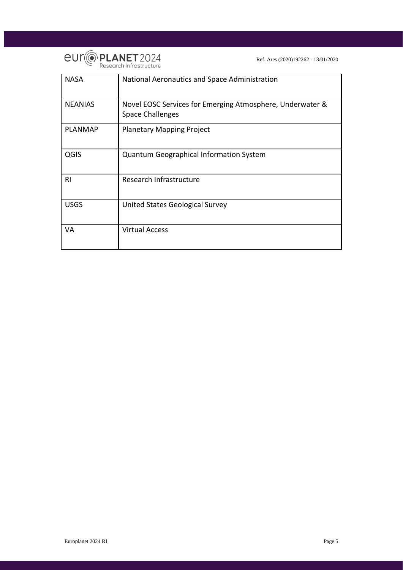

| <b>NASA</b>    | National Aeronautics and Space Administration                                        |
|----------------|--------------------------------------------------------------------------------------|
| <b>NEANIAS</b> | Novel EOSC Services for Emerging Atmosphere, Underwater &<br><b>Space Challenges</b> |
| <b>PLANMAP</b> | <b>Planetary Mapping Project</b>                                                     |
| QGIS           | <b>Quantum Geographical Information System</b>                                       |
| RI.            | Research Infrastructure                                                              |
| <b>USGS</b>    | United States Geological Survey                                                      |
| VA             | <b>Virtual Access</b>                                                                |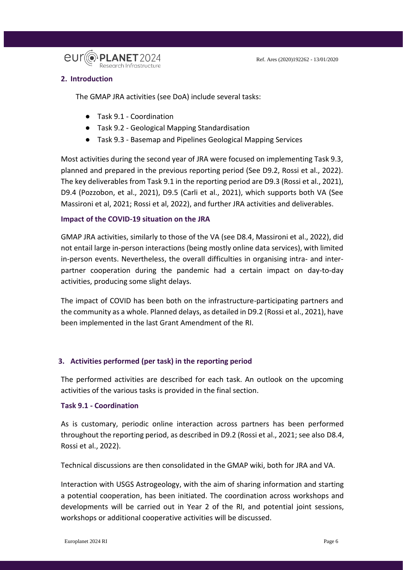

## <span id="page-5-0"></span>**2. Introduction**

The GMAP JRA activities (see DoA) include several tasks:

- Task 9.1 Coordination
- Task 9.2 Geological Mapping Standardisation
- Task 9.3 Basemap and Pipelines Geological Mapping Services

Most activities during the second year of JRA were focused on implementing Task 9.3, planned and prepared in the previous reporting period (See D9.2, Rossi et al., 2022). The key deliverables from Task 9.1 in the reporting period are D9.3 (Rossi et al., 2021), D9.4 (Pozzobon, et al., 2021), D9.5 (Carli et al., 2021), which supports both VA (See Massironi et al, 2021; Rossi et al, 2022), and further JRA activities and deliverables.

## <span id="page-5-1"></span>**Impact of the COVID-19 situation on the JRA**

GMAP JRA activities, similarly to those of the VA (see D8.4, Massironi et al., 2022), did not entail large in-person interactions (being mostly online data services), with limited in-person events. Nevertheless, the overall difficulties in organising intra- and interpartner cooperation during the pandemic had a certain impact on day-to-day activities, producing some slight delays.

The impact of COVID has been both on the infrastructure-participating partners and the community as a whole. Planned delays, as detailed in D9.2 (Rossi et al., 2021), have been implemented in the last Grant Amendment of the RI.

## <span id="page-5-2"></span>**3. Activities performed (per task) in the reporting period**

The performed activities are described for each task. An outlook on the upcoming activities of the various tasks is provided in the final section.

## <span id="page-5-3"></span>**Task 9.1 - Coordination**

As is customary, periodic online interaction across partners has been performed throughout the reporting period, as described in D9.2 (Rossi et al., 2021; see also D8.4, Rossi et al., 2022).

Technical discussions are then consolidated in the GMAP wiki, both for JRA and VA.

Interaction with USGS Astrogeology, with the aim of sharing information and starting a potential cooperation, has been initiated. The coordination across workshops and developments will be carried out in Year 2 of the RI, and potential joint sessions, workshops or additional cooperative activities will be discussed.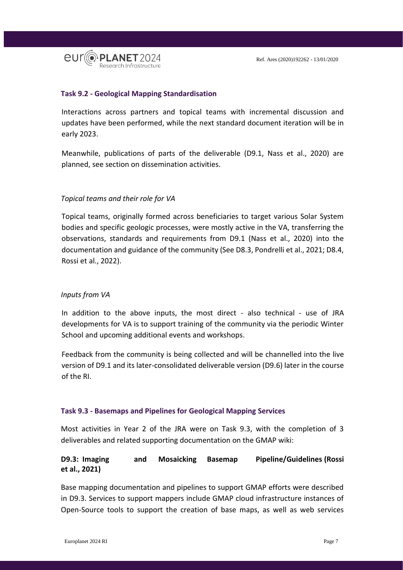

#### <span id="page-6-0"></span>**Task 9.2 - Geological Mapping Standardisation**

Interactions across partners and topical teams with incremental discussion and updates have been performed, while the next standard document iteration will be in early 2023.

Meanwhile, publications of parts of the deliverable (D9.1, Nass et al., 2020) are planned, see section on dissemination activities.

#### <span id="page-6-1"></span>*Topical teams and their role for VA*

Topical teams, originally formed across beneficiaries to target various Solar System bodies and specific geologic processes, were mostly active in the VA, transferring the observations, standards and requirements from D9.1 (Nass et al., 2020) into the documentation and guidance of the community (See D8.3, Pondrelli et al., 2021; D8.4, Rossi et al., 2022).

#### <span id="page-6-2"></span>*Inputs from VA*

In addition to the above inputs, the most direct - also technical - use of JRA developments for VA is to support training of the community via the periodic Winter School and upcoming additional events and workshops.

Feedback from the community is being collected and will be channelled into the live version of D9.1 and its later-consolidated deliverable version (D9.6) later in the course of the RI.

#### <span id="page-6-3"></span>**Task 9.3 - Basemaps and Pipelines for Geological Mapping Services**

Most activities in Year 2 of the JRA were on Task 9.3, with the completion of 3 deliverables and related supporting documentation on the GMAP wiki:

## **D9.3: Imaging and Mosaicking Basemap Pipeline/Guidelines (Rossi et al., 2021)**

Base mapping documentation and pipelines to support GMAP efforts were described in D9.3. Services to support mappers include GMAP cloud infrastructure instances of Open-Source tools to support the creation of base maps, as well as web services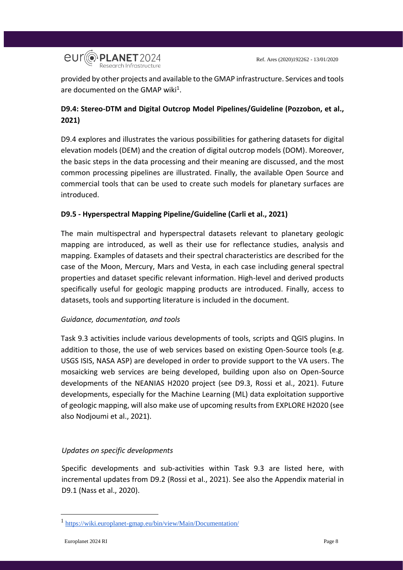

provided by other projects and available to the GMAP infrastructure. Services and tools are documented on the GMAP wiki<sup>1</sup>.

# **D9.4: Stereo-DTM and Digital Outcrop Model Pipelines/Guideline (Pozzobon, et al., 2021)**

D9.4 explores and illustrates the various possibilities for gathering datasets for digital elevation models (DEM) and the creation of digital outcrop models (DOM). Moreover, the basic steps in the data processing and their meaning are discussed, and the most common processing pipelines are illustrated. Finally, the available Open Source and commercial tools that can be used to create such models for planetary surfaces are introduced.

## **D9.5 - Hyperspectral Mapping Pipeline/Guideline (Carli et al., 2021)**

The main multispectral and hyperspectral datasets relevant to planetary geologic mapping are introduced, as well as their use for reflectance studies, analysis and mapping. Examples of datasets and their spectral characteristics are described for the case of the Moon, Mercury, Mars and Vesta, in each case including general spectral properties and dataset specific relevant information. High-level and derived products specifically useful for geologic mapping products are introduced. Finally, access to datasets, tools and supporting literature is included in the document.

## *Guidance, documentation, and tools*

Task 9.3 activities include various developments of tools, scripts and QGIS plugins. In addition to those, the use of web services based on existing Open-Source tools (e.g. USGS ISIS, NASA ASP) are developed in order to provide support to the VA users. The mosaicking web services are being developed, building upon also on Open-Source developments of the NEANIAS H2020 project (see D9.3, Rossi et al., 2021). Future developments, especially for the Machine Learning (ML) data exploitation supportive of geologic mapping, will also make use of upcoming results from EXPLORE H2020 (see also Nodjoumi et al., 2021).

## <span id="page-7-0"></span>*Updates on specific developments*

Specific developments and sub-activities within Task 9.3 are listed here, with incremental updates from D9.2 (Rossi et al., 2021). See also the Appendix material in D9.1 (Nass et al., 2020).

<u>.</u>

<sup>1</sup> <https://wiki.europlanet-gmap.eu/bin/view/Main/Documentation/>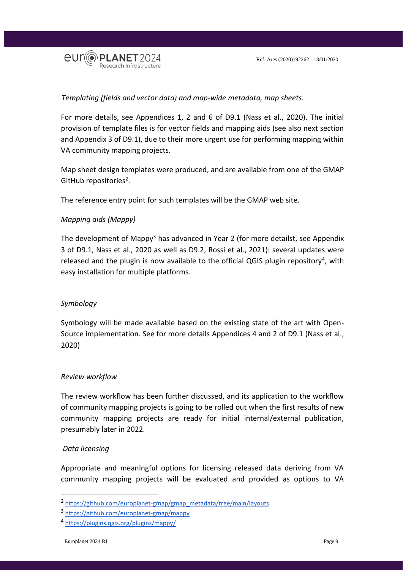

## *Templating (fields and vector data) and map-wide metadata, map sheets.*

For more details, see Appendices 1, 2 and 6 of D9.1 (Nass et al., 2020). The initial provision of template files is for vector fields and mapping aids (see also next section and Appendix 3 of D9.1), due to their more urgent use for performing mapping within VA community mapping projects.

Map sheet design templates were produced, and are available from one of the GMAP GitHub repositories<sup>2</sup>.

The reference entry point for such templates will be the GMAP web site.

## *Mapping aids (Mappy)*

The development of Mappy<sup>3</sup> has advanced in Year 2 (for more detailst, see Appendix 3 of D9.1, Nass et al., 2020 as well as D9.2, Rossi et al., 2021): several updates were released and the plugin is now available to the official QGIS plugin repository<sup>4</sup>, with easy installation for multiple platforms.

## <span id="page-8-0"></span>*Symbology*

Symbology will be made available based on the existing state of the art with Open-Source implementation. See for more details Appendices 4 and 2 of D9.1 (Nass et al., 2020)

## <span id="page-8-1"></span>*Review workflow*

The review workflow has been further discussed, and its application to the workflow of community mapping projects is going to be rolled out when the first results of new community mapping projects are ready for initial internal/external publication, presumably later in 2022.

## *Data licensing*

-

Appropriate and meaningful options for licensing released data deriving from VA community mapping projects will be evaluated and provided as options to VA

<sup>&</sup>lt;sup>2</sup> [https://github.com/europlanet-gmap/gmap\\_metadata/tree/main/layouts](https://github.com/europlanet-gmap/gmap_metadata/tree/main/layouts)

<sup>3</sup> <https://github.com/europlanet-gmap/mappy>

<sup>4</sup> <https://plugins.qgis.org/plugins/mappy/>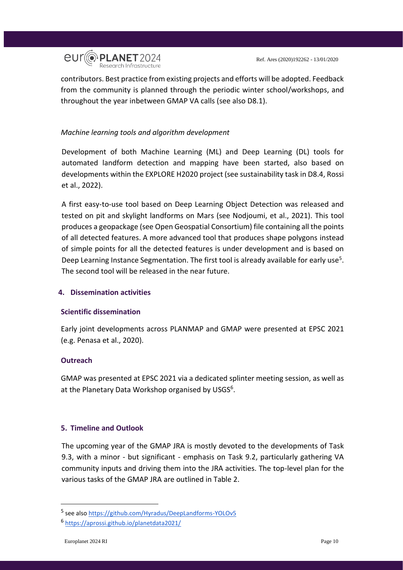

contributors. Best practice from existing projects and efforts will be adopted. Feedback from the community is planned through the periodic winter school/workshops, and throughout the year inbetween GMAP VA calls (see also D8.1).

## <span id="page-9-0"></span>*Machine learning tools and algorithm development*

Development of both Machine Learning (ML) and Deep Learning (DL) tools for automated landform detection and mapping have been started, also based on developments within the EXPLORE H2020 project (see sustainability task in D8.4, Rossi et al., 2022).

A first easy-to-use tool based on Deep Learning Object Detection was released and tested on pit and skylight landforms on Mars (see Nodjoumi, et al., 2021). This tool produces a geopackage (see Open Geospatial Consortium) file containing all the points of all detected features. A more advanced tool that produces shape polygons instead of simple points for all the detected features is under development and is based on Deep Learning Instance Segmentation. The first tool is already available for early use<sup>5</sup>. The second tool will be released in the near future.

## <span id="page-9-1"></span>**4. Dissemination activities**

## <span id="page-9-2"></span>**Scientific dissemination**

Early joint developments across PLANMAP and GMAP were presented at EPSC 2021 (e.g. Penasa et al., 2020).

## <span id="page-9-3"></span>**Outreach**

GMAP was presented at EPSC 2021 via a dedicated splinter meeting session, as well as at the Planetary Data Workshop organised by USGS<sup>6</sup>.

## <span id="page-9-4"></span>**5. Timeline and Outlook**

The upcoming year of the GMAP JRA is mostly devoted to the developments of Task 9.3, with a minor - but significant - emphasis on Task 9.2, particularly gathering VA community inputs and driving them into the JRA activities. The top-level plan for the various tasks of the GMAP JRA are outlined in Table 2.

-

<sup>&</sup>lt;sup>5</sup> see also<https://github.com/Hyradus/DeepLandforms-YOLOv5>

<sup>6</sup> <https://aprossi.github.io/planetdata2021/>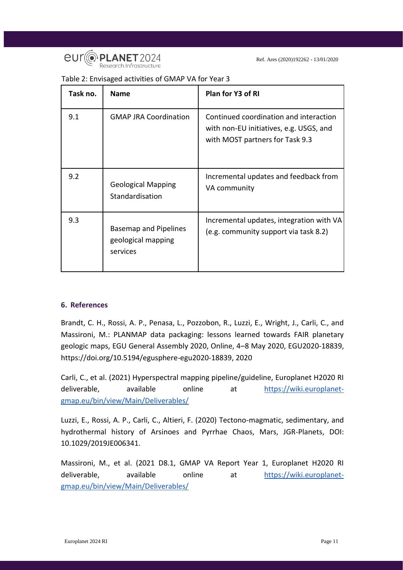

| Table 2: Envisaged activities of GMAP VA for Year 3 |  |
|-----------------------------------------------------|--|
|-----------------------------------------------------|--|

| Task no. | <b>Name</b>                                             | Plan for Y3 of RI                                                                                                    |
|----------|---------------------------------------------------------|----------------------------------------------------------------------------------------------------------------------|
| 9.1      | <b>GMAP JRA Coordination</b>                            | Continued coordination and interaction<br>with non-EU initiatives, e.g. USGS, and<br>with MOST partners for Task 9.3 |
| 9.2      | <b>Geological Mapping</b><br>Standardisation            | Incremental updates and feedback from<br>VA community                                                                |
| 9.3      | Basemap and Pipelines<br>geological mapping<br>services | Incremental updates, integration with VA<br>(e.g. community support via task 8.2)                                    |

## <span id="page-10-0"></span>**6. References**

Brandt, C. H., Rossi, A. P., Penasa, L., Pozzobon, R., Luzzi, E., Wright, J., Carli, C., and Massironi, M.: PLANMAP data packaging: lessons learned towards FAIR planetary geologic maps, EGU General Assembly 2020, Online, 4–8 May 2020, EGU2020-18839, https://doi.org/10.5194/egusphere-egu2020-18839, 2020

Carli, C., et al. (2021) Hyperspectral mapping pipeline/guideline, Europlanet H2020 RI deliverable, available online at [https://wiki.europlanet](https://wiki.europlanet-gmap.eu/bin/view/Main/Deliverables/)[gmap.eu/bin/view/Main/Deliverables/](https://wiki.europlanet-gmap.eu/bin/view/Main/Deliverables/)

Luzzi, E., Rossi, A. P., Carli, C., Altieri, F. (2020) Tectono-magmatic, sedimentary, and hydrothermal history of Arsinoes and Pyrrhae Chaos, Mars, JGR-Planets, DOI: 10.1029/2019JE006341.

Massironi, M., et al. (2021 D8.1, GMAP VA Report Year 1, Europlanet H2020 RI deliverable, available online a[t](https://wiki.europlanet-gmap.eu/bin/view/Main/Deliverables/) [https://wiki.europlanet](https://wiki.europlanet-gmap.eu/bin/view/Main/Deliverables/)[gmap.eu/bin/view/Main/Deliverables/](https://wiki.europlanet-gmap.eu/bin/view/Main/Deliverables/)